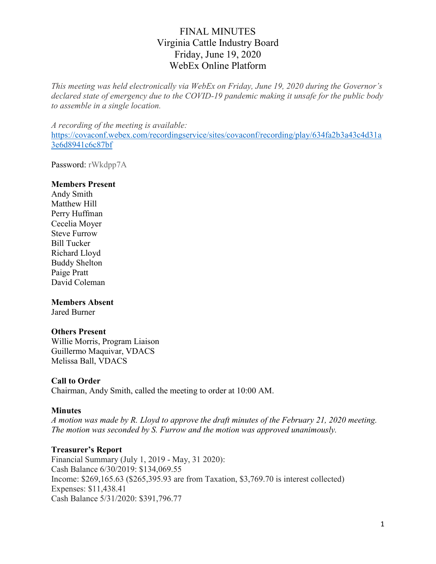This meeting was held electronically via WebEx on Friday, June 19, 2020 during the Governor's declared state of emergency due to the COVID-19 pandemic making it unsafe for the public body to assemble in a single location.

A recording of the meeting is available: https://covaconf.webex.com/recordingservice/sites/covaconf/recording/play/634fa2b3a43c4d31a 3e6d8941c6c87bf

Password: rWkdpp7A

#### Members Present

Andy Smith Matthew Hill Perry Huffman Cecelia Moyer Steve Furrow Bill Tucker Richard Lloyd Buddy Shelton Paige Pratt David Coleman

#### Members Absent

Jared Burner

#### Others Present

Willie Morris, Program Liaison Guillermo Maquivar, VDACS Melissa Ball, VDACS

#### Call to Order

Chairman, Andy Smith, called the meeting to order at 10:00 AM.

#### Minutes

A motion was made by R. Lloyd to approve the draft minutes of the February 21, 2020 meeting. The motion was seconded by S. Furrow and the motion was approved unanimously.

#### Treasurer's Report

Financial Summary (July 1, 2019 - May, 31 2020): Cash Balance 6/30/2019: \$134,069.55 Income: \$269,165.63 (\$265,395.93 are from Taxation, \$3,769.70 is interest collected) Expenses: \$11,438.41 Cash Balance 5/31/2020: \$391,796.77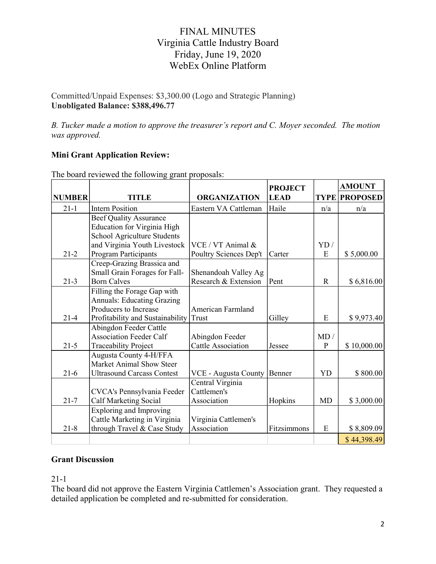Committed/Unpaid Expenses: \$3,300.00 (Logo and Strategic Planning) Unobligated Balance: \$388,496.77

B. Tucker made a motion to approve the treasurer's report and C. Moyer seconded. The motion was approved.

### Mini Grant Application Review:

|               |                                    |                           | <b>PROJECT</b> |              | <b>AMOUNT</b>        |
|---------------|------------------------------------|---------------------------|----------------|--------------|----------------------|
| <b>NUMBER</b> | <b>TITLE</b>                       | <b>ORGANIZATION</b>       | <b>LEAD</b>    |              | <b>TYPE PROPOSED</b> |
| $21 - 1$      | <b>Intern Position</b>             | Eastern VA Cattleman      | Haile          | n/a          | n/a                  |
|               | <b>Beef Quality Assurance</b>      |                           |                |              |                      |
|               | <b>Education for Virginia High</b> |                           |                |              |                      |
|               | School Agriculture Students        |                           |                |              |                      |
|               | and Virginia Youth Livestock       | VCE / VT Animal &         |                | YD/          |                      |
| $21 - 2$      | Program Participants               | Poultry Sciences Dep't    | Carter         | E            | \$5,000.00           |
|               | Creep-Grazing Brassica and         |                           |                |              |                      |
|               | Small Grain Forages for Fall-      | Shenandoah Valley Ag      |                |              |                      |
| $21-3$        | <b>Born Calves</b>                 | Research & Extension      | Pent           | $\mathbf R$  | \$6,816.00           |
|               | Filling the Forage Gap with        |                           |                |              |                      |
|               | <b>Annuals: Educating Grazing</b>  |                           |                |              |                      |
|               | Producers to Increase              | American Farmland         |                |              |                      |
| $21 - 4$      | Profitability and Sustainability   | Trust                     | Gilley         | E            | \$9,973.40           |
|               | Abingdon Feeder Cattle             |                           |                |              |                      |
|               | <b>Association Feeder Calf</b>     | Abingdon Feeder           |                | MD /         |                      |
| $21 - 5$      | <b>Traceability Project</b>        | <b>Cattle Association</b> | Jessee         | $\mathbf{P}$ | \$10,000.00          |
|               | Augusta County 4-H/FFA             |                           |                |              |                      |
|               | Market Animal Show Steer           |                           |                |              |                      |
| $21-6$        | <b>Ultrasound Carcass Contest</b>  | VCE - Augusta County      | Benner         | <b>YD</b>    | \$800.00             |
|               |                                    | Central Virginia          |                |              |                      |
|               | CVCA's Pennsylvania Feeder         | Cattlemen's               |                |              |                      |
| $21 - 7$      | Calf Marketing Social              | Association               | Hopkins        | <b>MD</b>    | \$3,000.00           |
|               | <b>Exploring and Improving</b>     |                           |                |              |                      |
|               | Cattle Marketing in Virginia       | Virginia Cattlemen's      |                |              |                      |
| $21 - 8$      | through Travel & Case Study        | Association               | Fitzsimmons    | E            | \$8,809.09           |
|               |                                    |                           |                |              | \$44,398.49          |

The board reviewed the following grant proposals:

#### Grant Discussion

21-1

The board did not approve the Eastern Virginia Cattlemen's Association grant. They requested a detailed application be completed and re-submitted for consideration.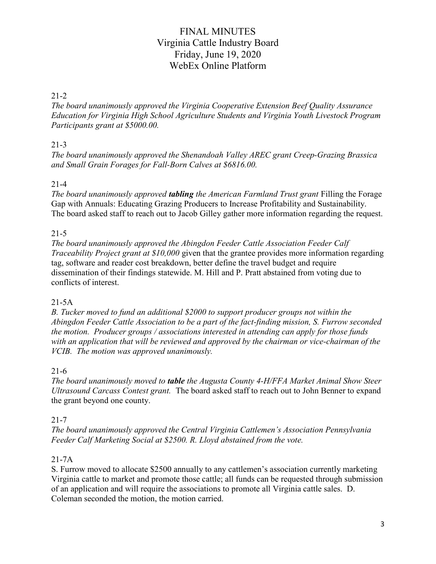#### 21-2

The board unanimously approved the Virginia Cooperative Extension Beef Quality Assurance Education for Virginia High School Agriculture Students and Virginia Youth Livestock Program Participants grant at \$5000.00.

## 21-3

The board unanimously approved the Shenandoah Valley AREC grant Creep-Grazing Brassica and Small Grain Forages for Fall-Born Calves at \$6816.00.

## 21-4

The board unanimously approved **tabling** the American Farmland Trust grant Filling the Forage Gap with Annuals: Educating Grazing Producers to Increase Profitability and Sustainability. The board asked staff to reach out to Jacob Gilley gather more information regarding the request.

## 21-5

The board unanimously approved the Abingdon Feeder Cattle Association Feeder Calf Traceability Project grant at \$10,000 given that the grantee provides more information regarding tag, software and reader cost breakdown, better define the travel budget and require dissemination of their findings statewide. M. Hill and P. Pratt abstained from voting due to conflicts of interest.

## 21-5A

B. Tucker moved to fund an additional \$2000 to support producer groups not within the Abingdon Feeder Cattle Association to be a part of the fact-finding mission, S. Furrow seconded the motion. Producer groups / associations interested in attending can apply for those funds with an application that will be reviewed and approved by the chairman or vice-chairman of the VCIB. The motion was approved unanimously.

#### 21-6

The board unanimously moved to **table** the Augusta County 4-H/FFA Market Animal Show Steer Ultrasound Carcass Contest grant. The board asked staff to reach out to John Benner to expand the grant beyond one county.

## 21-7

The board unanimously approved the Central Virginia Cattlemen's Association Pennsylvania Feeder Calf Marketing Social at \$2500. R. Lloyd abstained from the vote.

## 21-7A

S. Furrow moved to allocate \$2500 annually to any cattlemen's association currently marketing Virginia cattle to market and promote those cattle; all funds can be requested through submission of an application and will require the associations to promote all Virginia cattle sales. D. Coleman seconded the motion, the motion carried.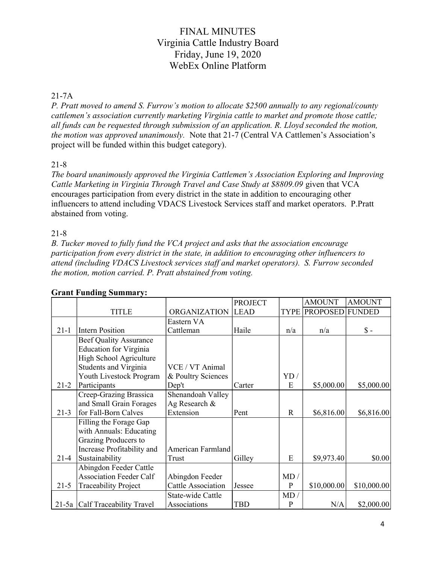#### 21-7A

P. Pratt moved to amend S. Furrow's motion to allocate \$2500 annually to any regional/county cattlemen's association currently marketing Virginia cattle to market and promote those cattle; all funds can be requested through submission of an application. R. Lloyd seconded the motion, the motion was approved unanimously. Note that 21-7 (Central VA Cattlemen's Association's project will be funded within this budget category).

### 21-8

The board unanimously approved the Virginia Cattlemen's Association Exploring and Improving Cattle Marketing in Virginia Through Travel and Case Study at \$8809.09 given that VCA encourages participation from every district in the state in addition to encouraging other influencers to attend including VDACS Livestock Services staff and market operators. P.Pratt abstained from voting.

### 21-8

B. Tucker moved to fully fund the VCA project and asks that the association encourage participation from every district in the state, in addition to encouraging other influencers to attend (including VDACS Livestock services staff and market operators). S. Furrow seconded the motion, motion carried. P. Pratt abstained from voting.

|          |                                |                     | <b>PROJECT</b> |             | <b>AMOUNT</b>   | <b>AMOUNT</b>   |
|----------|--------------------------------|---------------------|----------------|-------------|-----------------|-----------------|
|          | <b>TITLE</b>                   | <b>ORGANIZATION</b> | <b>LEAD</b>    | <b>TYPE</b> | <b>PROPOSED</b> | <b>FUNDED</b>   |
|          |                                | Eastern VA          |                |             |                 |                 |
| $21 - 1$ | <b>Intern Position</b>         | Cattleman           | Haile          | n/a         | n/a             | $\mathsf{\$}$ - |
|          | <b>Beef Quality Assurance</b>  |                     |                |             |                 |                 |
|          | <b>Education for Virginia</b>  |                     |                |             |                 |                 |
|          | High School Agriculture        |                     |                |             |                 |                 |
|          | Students and Virginia          | VCE / VT Animal     |                |             |                 |                 |
|          | Youth Livestock Program        | & Poultry Sciences  |                | YD/         |                 |                 |
| $21 - 2$ | Participants                   | Dep't               | Carter         | E           | \$5,000.00      | \$5,000.00      |
|          | Creep-Grazing Brassica         | Shenandoah Valley   |                |             |                 |                 |
|          | and Small Grain Forages        | Ag Research &       |                |             |                 |                 |
| $21 - 3$ | for Fall-Born Calves           | Extension           | Pent           | R           | \$6,816.00      | \$6,816.00      |
|          | Filling the Forage Gap         |                     |                |             |                 |                 |
|          | with Annuals: Educating        |                     |                |             |                 |                 |
|          | Grazing Producers to           |                     |                |             |                 |                 |
|          | Increase Profitability and     | American Farmland   |                |             |                 |                 |
| $21 - 4$ | Sustainability                 | Trust               | Gilley         | E           | \$9,973.40      | \$0.00          |
|          | Abingdon Feeder Cattle         |                     |                |             |                 |                 |
|          | <b>Association Feeder Calf</b> | Abingdon Feeder     |                | MD/         |                 |                 |
| $21 - 5$ | Traceability Project           | Cattle Association  | Jessee         | P           | \$10,000.00     | \$10,000.00     |
|          |                                | State-wide Cattle   |                | MD/         |                 |                 |
| $21-5a$  | Calf Traceability Travel       | Associations        | <b>TBD</b>     | P           | N/A             | \$2,000.00      |

#### Grant Funding Summary: